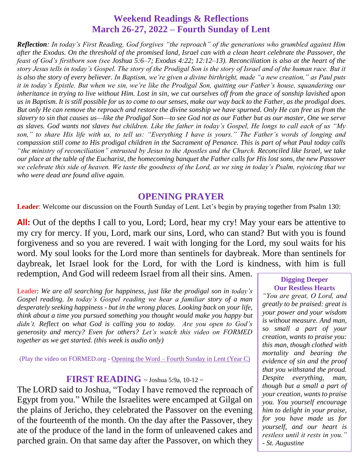## **Weekend Readings & Reflections March 26-27, 2022 – Fourth Sunday of Lent**

*Reflection: In today's First Reading, God forgives "the reproach" of the generations who grumbled against Him after the Exodus. On the threshold of the promised land, Israel can with a clean heart celebrate the Passover, the feast of God's firstborn son (see [Joshua 5:6–7;](https://biblia.com/bible/rsvce/Josh%205.6%E2%80%937) [Exodus 4:22;](https://biblia.com/bible/rsvce/Exod%204.22) [12:12–13\)](https://biblia.com/bible/rsvce/Exodus%2012.12%E2%80%9313). Reconciliation is also at the heart of the story Jesus tells in today's Gospel. The story of the Prodigal Son is the story of Israel and of the human race. But it is also the story of every believer. In Baptism, we're given a divine birthright, made "a new creation," as Paul puts it in today's Epistle. But when we sin, we're like the Prodigal Son, quitting our Father's house, squandering our inheritance in trying to live without Him. Lost in sin, we cut ourselves off from the grace of sonship lavished upon us in Baptism. It is still possible for us to come to our senses, make our way back to the Father, as the prodigal does. But only He can remove the reproach and restore the divine sonship we have spurned. Only He can free us from the slavery to sin that causes us—like the Prodigal Son—to see God not as our Father but as our master, One we serve as slaves. God wants not slaves but children. Like the father in today's Gospel, He longs to call each of us "My son," to share His life with us, to tell us: "Everything I have is yours." The Father's words of longing and compassion still come to His prodigal children in the Sacrament of Penance. This is part of what Paul today calls "the ministry of reconciliation" entrusted by Jesus to the Apostles and the Church. Reconciled like Israel, we take our place at the table of the Eucharist, the homecoming banquet the Father calls for His lost sons, the new Passover we celebrate this side of heaven. We taste the goodness of the Lord, as we sing in today's Psalm, rejoicing that we who were dead are found alive again.*

## **OPENING PRAYER**

**Leader**: Welcome our discussion on the Fourth Sunday of Lent. Let's begin by praying together from Psalm 130:

**All:** Out of the depths I call to you, Lord; Lord, hear my cry! May your ears be attentive to my cry for mercy. If you, Lord, mark our sins, Lord, who can stand? But with you is found forgiveness and so you are revered. I wait with longing for the Lord, my soul waits for his word. My soul looks for the Lord more than sentinels for daybreak. More than sentinels for daybreak, let Israel look for the Lord, for with the Lord is kindness, with him is full redemption, And God will redeem Israel from all their sins. Amen.

Leader: *We are all searching for happiness, just like the prodigal son in today's Gospel reading. In today's Gospel reading we hear a familiar story of a man desperately seeking happiness - but in the wrong places. Looking back on your life, think about a time you pursued something you thought would make you happy but didn't. Reflect on what God is calling you to today. Are you open to God's generosity and mercy? Even for others? Let's watch this video on FORMED together as we get started. (this week is audio only)*

(Play the video on FORMED.org - [Opening the Word –](https://watch.formed.org/opening-the-word-1/season:3/videos/4th-sunday-of-lent-year-c) Fourth Sunday in Lent (Year C)

### **FIRST READING** ~ Joshua 5:9a, 10-12 ~

The LORD said to Joshua, "Today I have removed the reproach of Egypt from you." While the Israelites were encamped at Gilgal on the plains of Jericho, they celebrated the Passover on the evening of the fourteenth of the month. On the day after the Passover, they ate of the produce of the land in the form of unleavened cakes and parched grain. On that same day after the Passover, on which they

#### **Digging Deeper Our Restless Hearts**

*"You are great, O Lord, and greatly to be praised: great is your power and your wisdom is without measure. And man, so small a part of your creation, wants to praise you: this man, though clothed with mortality and bearing the evidence of sin and the proof that you withstand the proud. Despite everything, man, though but a small a part of your creation, wants to praise you. You yourself encourage him to delight in your praise, for you have made us for yourself, and our heart is restless until it rests in you." - St. Augustine*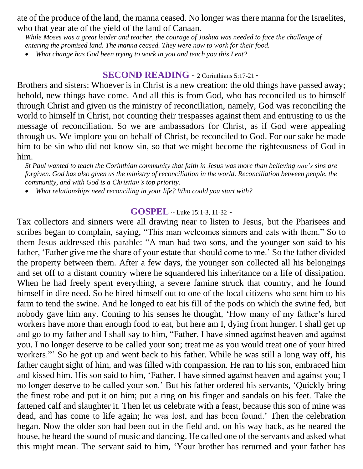ate of the produce of the land, the manna ceased. No longer was there manna for the Israelites, who that year ate of the yield of the land of Canaan.

*While Moses was a great leader and teacher, the courage of Joshua was needed to face the challenge of entering the promised land. The manna ceased. They were now to work for their food.* 

*What change has God been trying to work in you and teach you this Lent?*

## **SECOND READING** ~ 2 Corinthians 5:17-21 ~

Brothers and sisters: Whoever is in Christ is a new creation: the old things have passed away; behold, new things have come. And all this is from God, who has reconciled us to himself through Christ and given us the ministry of reconciliation, namely, God was reconciling the world to himself in Christ, not counting their trespasses against them and entrusting to us the message of reconciliation. So we are ambassadors for Christ, as if God were appealing through us. We implore you on behalf of Christ, be reconciled to God. For our sake he made him to be sin who did not know sin, so that we might become the righteousness of God in him.

*St Paul wanted to teach the Corinthian community that faith in Jesus was more than believing one's sins are*  forgiven. God has also given us the ministry of reconciliation in the world. Reconciliation between people, the *community, and with God is a Christian's top priority.* 

*What relationships need reconciling in your life? Who could you start with?*

#### **GOSPEL** ~ Luke 15:1-3, 11-32 <sup>~</sup>

Tax collectors and sinners were all drawing near to listen to Jesus, but the Pharisees and scribes began to complain, saying, "This man welcomes sinners and eats with them." So to them Jesus addressed this parable: "A man had two sons, and the younger son said to his father, 'Father give me the share of your estate that should come to me.' So the father divided the property between them. After a few days, the younger son collected all his belongings and set off to a distant country where he squandered his inheritance on a life of dissipation. When he had freely spent everything, a severe famine struck that country, and he found himself in dire need. So he hired himself out to one of the local citizens who sent him to his farm to tend the swine. And he longed to eat his fill of the pods on which the swine fed, but nobody gave him any. Coming to his senses he thought, 'How many of my father's hired workers have more than enough food to eat, but here am I, dying from hunger. I shall get up and go to my father and I shall say to him, "Father, I have sinned against heaven and against you. I no longer deserve to be called your son; treat me as you would treat one of your hired workers."' So he got up and went back to his father. While he was still a long way off, his father caught sight of him, and was filled with compassion. He ran to his son, embraced him and kissed him. His son said to him, 'Father, I have sinned against heaven and against you; I no longer deserve to be called your son.' But his father ordered his servants, 'Quickly bring the finest robe and put it on him; put a ring on his finger and sandals on his feet. Take the fattened calf and slaughter it. Then let us celebrate with a feast, because this son of mine was dead, and has come to life again; he was lost, and has been found.' Then the celebration began. Now the older son had been out in the field and, on his way back, as he neared the house, he heard the sound of music and dancing. He called one of the servants and asked what this might mean. The servant said to him, 'Your brother has returned and your father has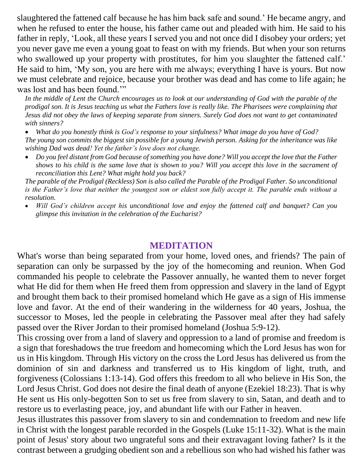slaughtered the fattened calf because he has him back safe and sound.' He became angry, and when he refused to enter the house, his father came out and pleaded with him. He said to his father in reply, 'Look, all these years I served you and not once did I disobey your orders; yet you never gave me even a young goat to feast on with my friends. But when your son returns who swallowed up your property with prostitutes, for him you slaughter the fattened calf.' He said to him, 'My son, you are here with me always; everything I have is yours. But now we must celebrate and rejoice, because your brother was dead and has come to life again; he was lost and has been found.'"

*In the middle of Lent the Church encourages us to look at our understanding of God with the parable of the prodigal son. It is Jesus teaching us what the Fathers love is really like. The Pharisees were complaining that Jesus did not obey the laws of keeping separate from sinners. Surely God does not want to get contaminated with sinners?* 

 *What do you honestly think is God's response to your sinfulness? What image do you have of God? The young son commits the biggest sin possible for a young Jewish person. Asking for the inheritance was like wishing Dad was dead! Yet the father's love does not change.* 

 *Do you feel distant from God because of something you have done? Will you accept the love that the Father shows to his child is the same love that is shown to you? Will you accept this love in the sacrament of reconciliation this Lent? What might hold you back?*

*The parable of the Prodigal (Reckless) Son is also called the Parable of the Prodigal Father. So unconditional is the Father's love that neither the youngest son or eldest son fully accept it. The parable ends without a resolution.* 

 *Will God's children accept his unconditional love and enjoy the fattened calf and banquet? Can you glimpse this invitation in the celebration of the Eucharist?*

#### **MEDITATION**

What's worse than being separated from your home, loved ones, and friends? The pain of separation can only be surpassed by the joy of the homecoming and reunion. When God commanded his people to celebrate the Passover annually, he wanted them to never forget what He did for them when He freed them from oppression and slavery in the land of Egypt and brought them back to their promised homeland which He gave as a sign of His immense love and favor. At the end of their wandering in the wilderness for 40 years, Joshua, the successor to Moses, led the people in celebrating the Passover meal after they had safely passed over the River Jordan to their promised homeland (Joshua 5:9-12).

This crossing over from a land of slavery and oppression to a land of promise and freedom is a sign that foreshadows the true freedom and homecoming which the Lord Jesus has won for us in His kingdom. Through His victory on the cross the Lord Jesus has delivered us from the dominion of sin and darkness and transferred us to His kingdom of light, truth, and forgiveness (Colossians 1:13-14). God offers this freedom to all who believe in His Son, the Lord Jesus Christ. God does not desire the final death of anyone (Ezekiel 18:23). That is why He sent us His only-begotten Son to set us free from slavery to sin, Satan, and death and to restore us to everlasting peace, joy, and abundant life with our Father in heaven.

Jesus illustrates this passover from slavery to sin and condemnation to freedom and new life in Christ with the longest parable recorded in the Gospels (Luke 15:11-32). What is the main point of Jesus' story about two ungrateful sons and their extravagant loving father? Is it the contrast between a grudging obedient son and a rebellious son who had wished his father was